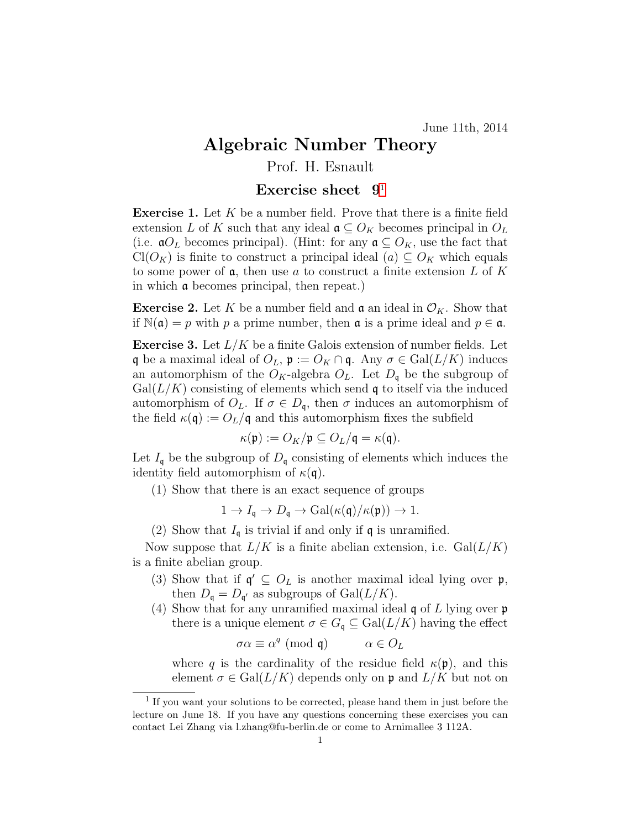## Algebraic Number Theory

## Prof. H. Esnault

## Exercise sheet  $9<sup>1</sup>$  $9<sup>1</sup>$  $9<sup>1</sup>$

**Exercise 1.** Let  $K$  be a number field. Prove that there is a finite field extension L of K such that any ideal  $\mathfrak{a} \subseteq O_K$  becomes principal in  $O_L$ (i.e.  $\mathfrak{a}O_L$  becomes principal). (Hint: for any  $\mathfrak{a} \subseteq O_K$ , use the fact that  $Cl(O_K)$  is finite to construct a principal ideal  $(a) \subseteq O_K$  which equals to some power of  $a$ , then use a to construct a finite extension L of K in which a becomes principal, then repeat.)

**Exercise 2.** Let K be a number field and  $\mathfrak{a}$  an ideal in  $\mathcal{O}_K$ . Show that if  $\mathbb{N}(\mathfrak{a}) = p$  with p a prime number, then **a** is a prime ideal and  $p \in \mathfrak{a}$ .

**Exercise 3.** Let  $L/K$  be a finite Galois extension of number fields. Let q be a maximal ideal of  $O_L$ ,  $\mathfrak{p} := O_K \cap \mathfrak{q}$ . Any  $\sigma \in \text{Gal}(L/K)$  induces an automorphism of the  $O_K$ -algebra  $O_L$ . Let  $D_q$  be the subgroup of  $Gal(L/K)$  consisting of elements which send q to itself via the induced automorphism of  $O_L$ . If  $\sigma \in D_{\mathfrak{q}}$ , then  $\sigma$  induces an automorphism of the field  $\kappa(\mathfrak{q}) := O_L/\mathfrak{q}$  and this automorphism fixes the subfield

$$
\kappa(\mathfrak{p}) := O_K/\mathfrak{p} \subseteq O_L/\mathfrak{q} = \kappa(\mathfrak{q}).
$$

Let  $I_{\mathfrak{q}}$  be the subgroup of  $D_{\mathfrak{q}}$  consisting of elements which induces the identity field automorphism of  $\kappa(\mathfrak{q})$ .

(1) Show that there is an exact sequence of groups

$$
1 \to I_{\mathfrak{q}} \to D_{\mathfrak{q}} \to \text{Gal}(\kappa(\mathfrak{q})/\kappa(\mathfrak{p})) \to 1.
$$

(2) Show that  $I_{\mathfrak{q}}$  is trivial if and only if  $\mathfrak{q}$  is unramified.

Now suppose that  $L/K$  is a finite abelian extension, i.e.  $Gal(L/K)$ is a finite abelian group.

- (3) Show that if  $\mathfrak{q}' \subseteq O_L$  is another maximal ideal lying over  $\mathfrak{p}$ , then  $D_{\mathfrak{q}} = D_{\mathfrak{q}'}$  as subgroups of  $Gal(L/K)$ .
- (4) Show that for any unramified maximal ideal  $\mathfrak q$  of L lying over  $\mathfrak p$ there is a unique element  $\sigma \in G_{\mathfrak{q}} \subseteq \text{Gal}(L/K)$  having the effect

$$
\sigma \alpha \equiv \alpha^q \ (\text{mod } \mathfrak{q}) \qquad \alpha \in O_L
$$

where q is the cardinality of the residue field  $\kappa(\mathfrak{p})$ , and this element  $\sigma \in \text{Gal}(L/K)$  depends only on p and  $L/K$  but not on

<span id="page-0-0"></span><sup>&</sup>lt;sup>1</sup> If you want your solutions to be corrected, please hand them in just before the lecture on June 18. If you have any questions concerning these exercises you can contact Lei Zhang via l.zhang@fu-berlin.de or come to Arnimallee 3 112A.